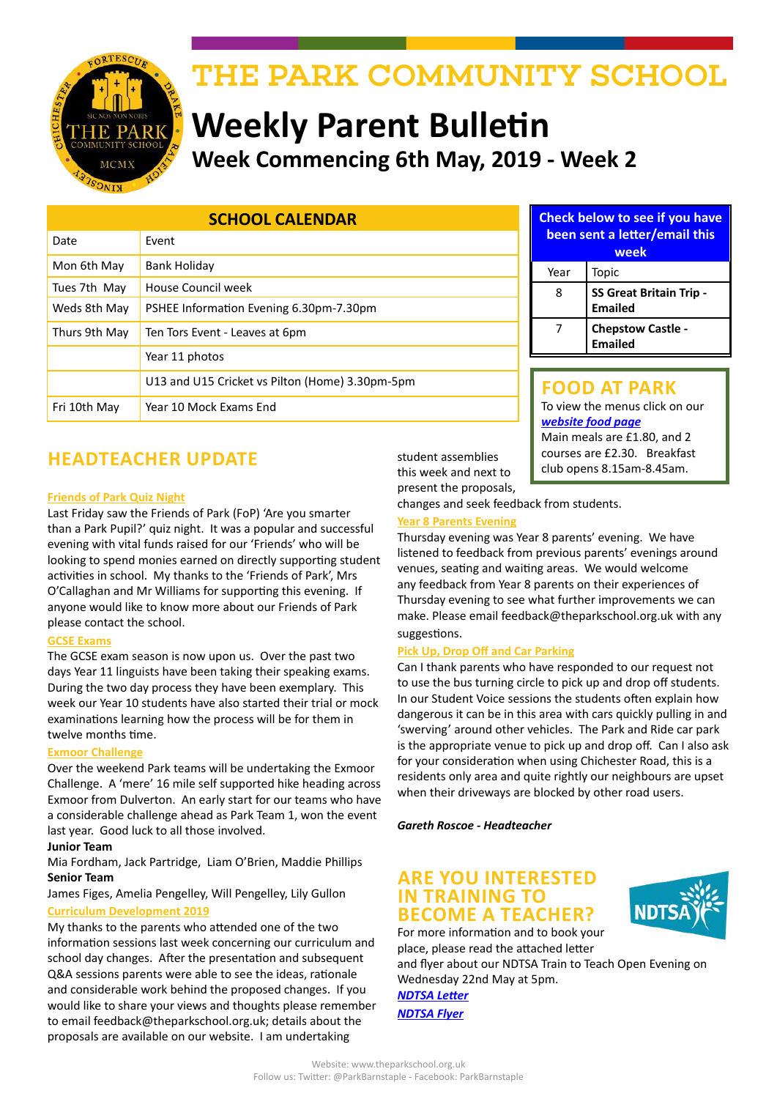

# THE PARK COMMUNITY SCHOOL

# **Weekly Parent Bulletin Week Commencing 6th May, 2019 - Week 2**

| <b>SCHOOL CALENDAR</b> |                                                 |
|------------------------|-------------------------------------------------|
| Date                   | Event                                           |
| Mon 6th May            | Bank Holiday                                    |
| Tues 7th May           | House Council week                              |
| Weds 8th May           | PSHEE Information Evening 6.30pm-7.30pm         |
| Thurs 9th May          | Ten Tors Event - Leaves at 6pm                  |
|                        | Year 11 photos                                  |
|                        | U13 and U15 Cricket vs Pilton (Home) 3.30pm-5pm |
| Fri 10th May           | Year 10 Mock Exams End                          |

**Check below to see if you have been sent a letter/email this week** Year | Topic 8 **SS Great Britain Trip -Emailed** 7 **Chepstow Castle -** 

#### **FOOD AT PARK** To view the menus click on our *[website food page](http://www.theparkschool.org.uk/food-park)* Main meals are £1.80, and 2 courses are £2.30. Breakfast club opens 8.15am-8.45am.

**Emailed**

**HEADTEACHER UPDATE**

#### **Friends of Park Quiz Night**

Last Friday saw the Friends of Park (FoP) 'Are you smarter than a Park Pupil?' quiz night. It was a popular and successful evening with vital funds raised for our 'Friends' who will be looking to spend monies earned on directly supporting student activities in school. My thanks to the 'Friends of Park', Mrs O'Callaghan and Mr Williams for supporting this evening. If anyone would like to know more about our Friends of Park please contact the school.

#### **GCSE Exams**

The GCSE exam season is now upon us. Over the past two days Year 11 linguists have been taking their speaking exams. During the two day process they have been exemplary. This week our Year 10 students have also started their trial or mock examinations learning how the process will be for them in twelve months time.

#### **Exmoor Challenge**

Over the weekend Park teams will be undertaking the Exmoor Challenge. A 'mere' 16 mile self supported hike heading across Exmoor from Dulverton. An early start for our teams who have a considerable challenge ahead as Park Team 1, won the event last year. Good luck to all those involved.

#### **Junior Team**

Mia Fordham, Jack Partridge, Liam O'Brien, Maddie Phillips **Senior Team**

James Figes, Amelia Pengelley, Will Pengelley, Lily Gullon

#### **Curriculum Development 2019**

My thanks to the parents who attended one of the two information sessions last week concerning our curriculum and school day changes. After the presentation and subsequent Q&A sessions parents were able to see the ideas, rationale and considerable work behind the proposed changes. If you would like to share your views and thoughts please remember to email feedback@theparkschool.org.uk; details about the proposals are available on our website. I am undertaking

student assemblies this week and next to present the proposals,

changes and seek feedback from students.

#### **Year 8 Parents Evening**

Thursday evening was Year 8 parents' evening. We have listened to feedback from previous parents' evenings around venues, seating and waiting areas. We would welcome any feedback from Year 8 parents on their experiences of Thursday evening to see what further improvements we can make. Please email feedback@theparkschool.org.uk with any suggestions.

#### **Pick Up, Drop Off and Car Parking**

Can I thank parents who have responded to our request not to use the bus turning circle to pick up and drop off students. In our Student Voice sessions the students often explain how dangerous it can be in this area with cars quickly pulling in and 'swerving' around other vehicles. The Park and Ride car park is the appropriate venue to pick up and drop off. Can I also ask for your consideration when using Chichester Road, this is a residents only area and quite rightly our neighbours are upset when their driveways are blocked by other road users.

*Gareth Roscoe - Headteacher*

#### **ARE YOU INTERESTED IN TRAINING TO BECOME A TEACHER?**

For more information and to book your place, please read the attached letter

and flyer about our NDTSA Train to Teach Open Evening on Wednesday 22nd May at 5pm.

*[NDTSA Letter](http://www.theparkschool.org.uk/sites/default/files/Train-To-Teach-LetterMay19.pdf) [NDTSA Flyer](http://www.theparkschool.org.uk/sites/default/files/T2T%20flyer%2022.5.19.pdf)*

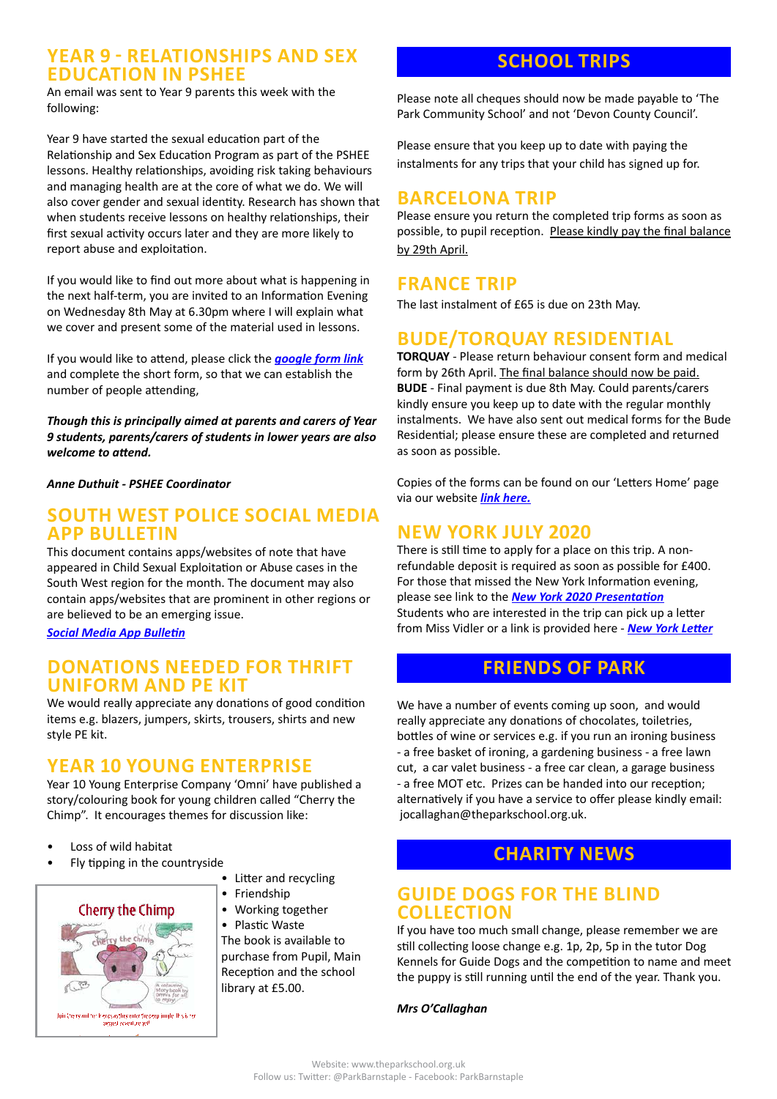#### **YEAR 9 - RELATIONSHIPS AND SEX EDUCATION IN PSHEE**

An email was sent to Year 9 parents this week with the following:

Year 9 have started the sexual education part of the Relationship and Sex Education Program as part of the PSHEE lessons. Healthy relationships, avoiding risk taking behaviours and managing health are at the core of what we do. We will also cover gender and sexual identity. Research has shown that when students receive lessons on healthy relationships, their first sexual activity occurs later and they are more likely to report abuse and exploitation.

If you would like to find out more about what is happening in the next half-term, you are invited to an Information Evening on Wednesday 8th May at 6.30pm where I will explain what we cover and present some of the material used in lessons.

If you would like to attend, please click the *[google form link](https://forms.gle/NcNFCr17C8DcDuth8)* and complete the short form, so that we can establish the number of people attending,

*Though this is principally aimed at parents and carers of Year 9 students, parents/carers of students in lower years are also welcome to attend.*

*Anne Duthuit - PSHEE Coordinator*

#### **SOUTH WEST POLICE SOCIAL MEDIA APP BULLETIN**

This document contains apps/websites of note that have appeared in Child Sexual Exploitation or Abuse cases in the South West region for the month. The document may also contain apps/websites that are prominent in other regions or are believed to be an emerging issue.

*[Social Media App Bulletin](http://www.theparkschool.org.uk/sites/default/files/Social%20Media%20App%20Bulletin%20April%202019.pdf)*

#### **DONATIONS NEEDED FOR THRIFT UNIFORM AND PE KIT**

We would really appreciate any donations of good condition items e.g. blazers, jumpers, skirts, trousers, shirts and new style PE kit.

### **YEAR 10 YOUNG ENTERPRISE**

Year 10 Young Enterprise Company 'Omni' have published a story/colouring book for young children called "Cherry the Chimp". It encourages themes for discussion like:

- Loss of wild habitat
- Fly tipping in the countryside
- **Cherry the Chimp** Join Cherry and the Triends as they enter the deep imagle. If is is loggest zoventure yet

#### • Litter and recycling

- Friendship
- Working together

• Plastic Waste The book is available to purchase from Pupil, Main Reception and the school library at £5.00.

## **SCHOOL TRIPS**

Please note all cheques should now be made payable to 'The Park Community School' and not 'Devon County Council'.

Please ensure that you keep up to date with paying the instalments for any trips that your child has signed up for.

## **BARCELONA TRIP**

Please ensure you return the completed trip forms as soon as possible, to pupil reception. Please kindly pay the final balance by 29th April.

## **FRANCE TRIP**

The last instalment of £65 is due on 23th May.

## **BUDE/TORQUAY RESIDENTIAL**

**TORQUAY** - Please return behaviour consent form and medical form by 26th April. The final balance should now be paid. **BUDE** - Final payment is due 8th May. Could parents/carers kindly ensure you keep up to date with the regular monthly instalments. We have also sent out medical forms for the Bude Residential; please ensure these are completed and returned as soon as possible.

Copies of the forms can be found on our 'Letters Home' page via our website *[link here](http://www.theparkschool.org.uk/letters-home-0).*

### **NEW YORK JULY 2020**

There is still time to apply for a place on this trip. A nonrefundable deposit is required as soon as possible for £400. For those that missed the New York Information evening, please see link to the *[New York 2020 Presentation](http://www.theparkschool.org.uk/sites/default/files/NewYorkMeetingPowerPoint-July2020.pdf)* Students who are interested in the trip can pick up a letter from Miss Vidler or a link is provided here - *[New York Letter](http://www.theparkschool.org.uk/sites/default/files/Payment%20Plan%20and%20Itinerary%20letter%202020.pdf)*

### **FRIENDS OF PARK**

We have a number of events coming up soon, and would really appreciate any donations of chocolates, toiletries, bottles of wine or services e.g. if you run an ironing business - a free basket of ironing, a gardening business - a free lawn cut, a car valet business - a free car clean, a garage business - a free MOT etc. Prizes can be handed into our reception; alternatively if you have a service to offer please kindly email: jocallaghan@theparkschool.org.uk.

## **CHARITY NEWS**

#### **GUIDE DOGS FOR THE BLIND COLLECTION**

If you have too much small change, please remember we are still collecting loose change e.g. 1p, 2p, 5p in the tutor Dog Kennels for Guide Dogs and the competition to name and meet the puppy is still running until the end of the year. Thank you.

*Mrs O'Callaghan*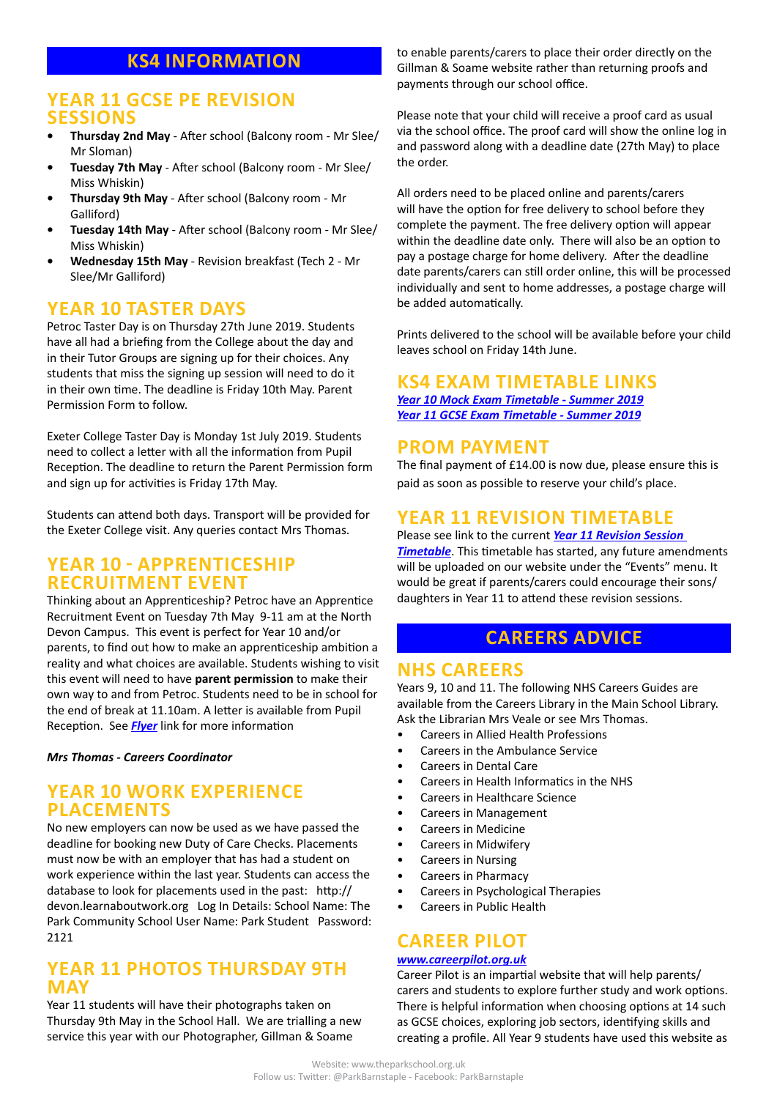## **KS4 INFORMATION**

#### **YEAR 11 GCSE PE REVISION SESSIONS**

- **• Thursday 2nd May**  After school (Balcony room Mr Slee/ Mr Sloman)
- **• Tuesday 7th May** After school (Balcony room Mr Slee/ Miss Whiskin)
- **• Thursday 9th May** After school (Balcony room Mr Galliford)
- **• Tuesday 14th May** After school (Balcony room Mr Slee/ Miss Whiskin)
- **• Wednesday 15th May** Revision breakfast (Tech 2 Mr Slee/Mr Galliford)

#### **YEAR 10 TASTER DAYS**

Petroc Taster Day is on Thursday 27th June 2019. Students have all had a briefing from the College about the day and in their Tutor Groups are signing up for their choices. Any students that miss the signing up session will need to do it in their own time. The deadline is Friday 10th May. Parent Permission Form to follow.

Exeter College Taster Day is Monday 1st July 2019. Students need to collect a letter with all the information from Pupil Reception. The deadline to return the Parent Permission form and sign up for activities is Friday 17th May.

Students can attend both days. Transport will be provided for the Exeter College visit. Any queries contact Mrs Thomas.

#### **YEAR 10 - APPRENTICESHIP RECRUITMENT EVENT**

Thinking about an Apprenticeship? Petroc have an Apprentice Recruitment Event on Tuesday 7th May 9-11 am at the North Devon Campus. This event is perfect for Year 10 and/or parents, to find out how to make an apprenticeship ambition a reality and what choices are available. Students wishing to visit this event will need to have **parent permission** to make their own way to and from Petroc. Students need to be in school for the end of break at 11.10am. A letter is available from Pupil Reception. See *[Flyer](http://www.theparkschool.org.uk/sites/default/files/Apprenticeship%20Recruitment%20Event_Invite_Yr10.pdf)* link for more information

*Mrs Thomas - Careers Coordinator*

#### **YEAR 10 WORK EXPERIENCE PLACEMENTS**

No new employers can now be used as we have passed the deadline for booking new Duty of Care Checks. Placements must now be with an employer that has had a student on work experience within the last year. Students can access the database to look for placements used in the past: http:// devon.learnaboutwork.org Log In Details: School Name: The Park Community School User Name: Park Student Password: 2121

#### **YEAR 11 PHOTOS THURSDAY 9TH MAY**

Year 11 students will have their photographs taken on Thursday 9th May in the School Hall. We are trialling a new service this year with our Photographer, Gillman & Soame

to enable parents/carers to place their order directly on the Gillman & Soame website rather than returning proofs and payments through our school office.

Please note that your child will receive a proof card as usual via the school office. The proof card will show the online log in and password along with a deadline date (27th May) to place the order.

All orders need to be placed online and parents/carers will have the option for free delivery to school before they complete the payment. The free delivery option will appear within the deadline date only. There will also be an option to pay a postage charge for home delivery. After the deadline date parents/carers can still order online, this will be processed individually and sent to home addresses, a postage charge will be added automatically.

Prints delivered to the school will be available before your child leaves school on Friday 14th June.

#### **KS4 EXAM TIMETABLE LINKS**

*[Year 10 Mock Exam Timetable - Summer 2019](http://www.theparkschool.org.uk/sites/default/files/Year10_Student_Timetable2019.pdf) [Year 11 GCSE Exam Timetable - Summer 2019](http://www.theparkschool.org.uk/sites/default/files/GCSE_Student_Timetable2019.pdf)*

#### **PROM PAYMENT**

The final payment of £14.00 is now due, please ensure this is paid as soon as possible to reserve your child's place.

### **YEAR 11 REVISION TIMETABLE**

Please see link to the current *[Year 11 Revision Session](https://docs.google.com/document/d/1dNMh7-L1kyihGF64pufxK6rpksF0LmhP7VMcilHf7oM/edit?usp=sharing)  [Timetable](https://docs.google.com/document/d/1dNMh7-L1kyihGF64pufxK6rpksF0LmhP7VMcilHf7oM/edit?usp=sharing)*. This timetable has started, any future amendments will be uploaded on our website under the "Events" menu. It would be great if parents/carers could encourage their sons/ daughters in Year 11 to attend these revision sessions.

## **CAREERS ADVICE**

#### **NHS CAREERS**

Years 9, 10 and 11. The following NHS Careers Guides are available from the Careers Library in the Main School Library. Ask the Librarian Mrs Veale or see Mrs Thomas.

- Careers in Allied Health Professions
- Careers in the Ambulance Service
- Careers in Dental Care
- Careers in Health Informatics in the NHS
- Careers in Healthcare Science
- Careers in Management
- Careers in Medicine
- Careers in Midwifery
- Careers in Nursing
- Careers in Pharmacy
- Careers in Psychological Therapies
- Careers in Public Health

## **CAREER PILOT**

#### *[www.careerpilot.org.uk](http://www.careerpilot.org.uk)*

Career Pilot is an impartial website that will help parents/ carers and students to explore further study and work options. There is helpful information when choosing options at 14 such as GCSE choices, exploring job sectors, identifying skills and creating a profile. All Year 9 students have used this website as